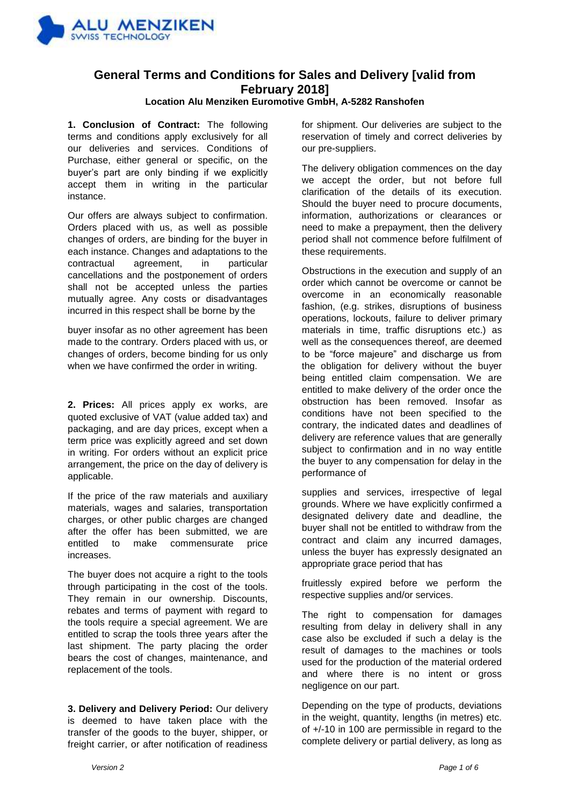

## **General Terms and Conditions for Sales and Delivery [valid from February 2018]**

## **Location Alu Menziken Euromotive GmbH, A-5282 Ranshofen**

**1. Conclusion of Contract:** The following terms and conditions apply exclusively for all our deliveries and services. Conditions of Purchase, either general or specific, on the buyer's part are only binding if we explicitly accept them in writing in the particular instance.

Our offers are always subject to confirmation. Orders placed with us, as well as possible changes of orders, are binding for the buyer in each instance. Changes and adaptations to the contractual agreement, in particular cancellations and the postponement of orders shall not be accepted unless the parties mutually agree. Any costs or disadvantages incurred in this respect shall be borne by the

buyer insofar as no other agreement has been made to the contrary. Orders placed with us, or changes of orders, become binding for us only when we have confirmed the order in writing.

**2. Prices:** All prices apply ex works, are quoted exclusive of VAT (value added tax) and packaging, and are day prices, except when a term price was explicitly agreed and set down in writing. For orders without an explicit price arrangement, the price on the day of delivery is applicable.

If the price of the raw materials and auxiliary materials, wages and salaries, transportation charges, or other public charges are changed after the offer has been submitted, we are entitled to make commensurate price increases.

The buyer does not acquire a right to the tools through participating in the cost of the tools. They remain in our ownership. Discounts, rebates and terms of payment with regard to the tools require a special agreement. We are entitled to scrap the tools three years after the last shipment. The party placing the order bears the cost of changes, maintenance, and replacement of the tools.

**3. Delivery and Delivery Period:** Our delivery is deemed to have taken place with the transfer of the goods to the buyer, shipper, or freight carrier, or after notification of readiness

for shipment. Our deliveries are subject to the reservation of timely and correct deliveries by our pre-suppliers.

The delivery obligation commences on the day we accept the order, but not before full clarification of the details of its execution. Should the buyer need to procure documents, information, authorizations or clearances or need to make a prepayment, then the delivery period shall not commence before fulfilment of these requirements.

Obstructions in the execution and supply of an order which cannot be overcome or cannot be overcome in an economically reasonable fashion, (e.g. strikes, disruptions of business operations, lockouts, failure to deliver primary materials in time, traffic disruptions etc.) as well as the consequences thereof, are deemed to be "force majeure" and discharge us from the obligation for delivery without the buyer being entitled claim compensation. We are entitled to make delivery of the order once the obstruction has been removed. Insofar as conditions have not been specified to the contrary, the indicated dates and deadlines of delivery are reference values that are generally subject to confirmation and in no way entitle the buyer to any compensation for delay in the performance of

supplies and services, irrespective of legal grounds. Where we have explicitly confirmed a designated delivery date and deadline, the buyer shall not be entitled to withdraw from the contract and claim any incurred damages, unless the buyer has expressly designated an appropriate grace period that has

fruitlessly expired before we perform the respective supplies and/or services.

The right to compensation for damages resulting from delay in delivery shall in any case also be excluded if such a delay is the result of damages to the machines or tools used for the production of the material ordered and where there is no intent or gross negligence on our part.

Depending on the type of products, deviations in the weight, quantity, lengths (in metres) etc. of +/-10 in 100 are permissible in regard to the complete delivery or partial delivery, as long as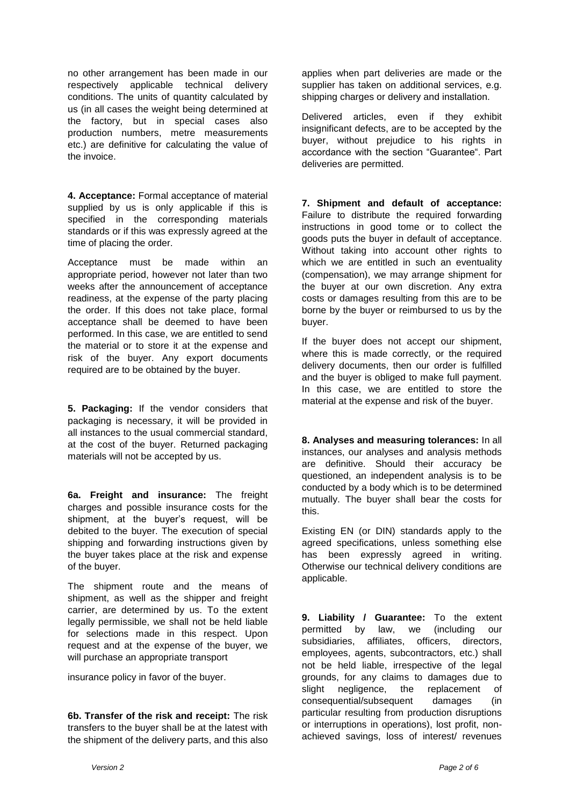no other arrangement has been made in our respectively applicable technical delivery conditions. The units of quantity calculated by us (in all cases the weight being determined at the factory, but in special cases also production numbers, metre measurements etc.) are definitive for calculating the value of the invoice.

**4. Acceptance:** Formal acceptance of material supplied by us is only applicable if this is specified in the corresponding materials standards or if this was expressly agreed at the time of placing the order.

Acceptance must be made within an appropriate period, however not later than two weeks after the announcement of acceptance readiness, at the expense of the party placing the order. If this does not take place, formal acceptance shall be deemed to have been performed. In this case, we are entitled to send the material or to store it at the expense and risk of the buyer. Any export documents required are to be obtained by the buyer.

**5. Packaging:** If the vendor considers that packaging is necessary, it will be provided in all instances to the usual commercial standard, at the cost of the buyer. Returned packaging materials will not be accepted by us.

**6a. Freight and insurance:** The freight charges and possible insurance costs for the shipment, at the buyer's request, will be debited to the buyer. The execution of special shipping and forwarding instructions given by the buyer takes place at the risk and expense of the buyer.

The shipment route and the means of shipment, as well as the shipper and freight carrier, are determined by us. To the extent legally permissible, we shall not be held liable for selections made in this respect. Upon request and at the expense of the buyer, we will purchase an appropriate transport

insurance policy in favor of the buyer.

**6b. Transfer of the risk and receipt:** The risk transfers to the buyer shall be at the latest with the shipment of the delivery parts, and this also applies when part deliveries are made or the supplier has taken on additional services, e.g. shipping charges or delivery and installation.

Delivered articles, even if they exhibit insignificant defects, are to be accepted by the buyer, without prejudice to his rights in accordance with the section "Guarantee". Part deliveries are permitted.

**7. Shipment and default of acceptance:**  Failure to distribute the required forwarding instructions in good tome or to collect the goods puts the buyer in default of acceptance. Without taking into account other rights to which we are entitled in such an eventuality (compensation), we may arrange shipment for the buyer at our own discretion. Any extra costs or damages resulting from this are to be borne by the buyer or reimbursed to us by the buyer.

If the buyer does not accept our shipment, where this is made correctly, or the required delivery documents, then our order is fulfilled and the buyer is obliged to make full payment. In this case, we are entitled to store the material at the expense and risk of the buyer.

**8. Analyses and measuring tolerances:** In all instances, our analyses and analysis methods are definitive. Should their accuracy be questioned, an independent analysis is to be conducted by a body which is to be determined mutually. The buyer shall bear the costs for this.

Existing EN (or DIN) standards apply to the agreed specifications, unless something else has been expressly agreed in writing. Otherwise our technical delivery conditions are applicable.

**9. Liability / Guarantee:** To the extent permitted by law, we (including our subsidiaries, affiliates, officers, directors, employees, agents, subcontractors, etc.) shall not be held liable, irrespective of the legal grounds, for any claims to damages due to slight negligence, the replacement of consequential/subsequent damages (in particular resulting from production disruptions or interruptions in operations), lost profit, nonachieved savings, loss of interest/ revenues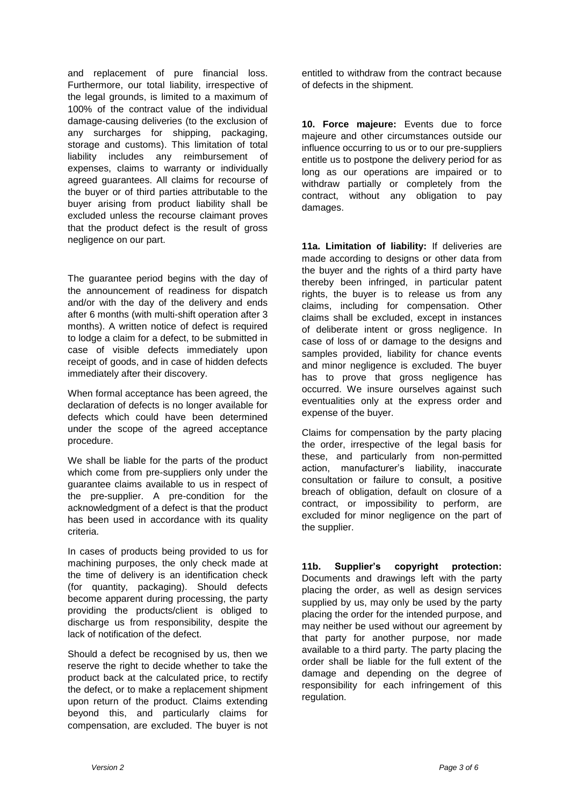and replacement of pure financial loss. Furthermore, our total liability, irrespective of the legal grounds, is limited to a maximum of 100% of the contract value of the individual damage-causing deliveries (to the exclusion of any surcharges for shipping, packaging, storage and customs). This limitation of total liability includes any reimbursement of expenses, claims to warranty or individually agreed guarantees. All claims for recourse of the buyer or of third parties attributable to the buyer arising from product liability shall be excluded unless the recourse claimant proves that the product defect is the result of gross negligence on our part.

The guarantee period begins with the day of the announcement of readiness for dispatch and/or with the day of the delivery and ends after 6 months (with multi-shift operation after 3 months). A written notice of defect is required to lodge a claim for a defect, to be submitted in case of visible defects immediately upon receipt of goods, and in case of hidden defects immediately after their discovery.

When formal acceptance has been agreed, the declaration of defects is no longer available for defects which could have been determined under the scope of the agreed acceptance procedure.

We shall be liable for the parts of the product which come from pre-suppliers only under the guarantee claims available to us in respect of the pre-supplier. A pre-condition for the acknowledgment of a defect is that the product has been used in accordance with its quality criteria.

In cases of products being provided to us for machining purposes, the only check made at the time of delivery is an identification check (for quantity, packaging). Should defects become apparent during processing, the party providing the products/client is obliged to discharge us from responsibility, despite the lack of notification of the defect.

Should a defect be recognised by us, then we reserve the right to decide whether to take the product back at the calculated price, to rectify the defect, or to make a replacement shipment upon return of the product. Claims extending beyond this, and particularly claims for compensation, are excluded. The buyer is not

entitled to withdraw from the contract because of defects in the shipment.

**10. Force majeure:** Events due to force majeure and other circumstances outside our influence occurring to us or to our pre-suppliers entitle us to postpone the delivery period for as long as our operations are impaired or to withdraw partially or completely from the contract, without any obligation to pay damages.

**11a. Limitation of liability:** If deliveries are made according to designs or other data from the buyer and the rights of a third party have thereby been infringed, in particular patent rights, the buyer is to release us from any claims, including for compensation. Other claims shall be excluded, except in instances of deliberate intent or gross negligence. In case of loss of or damage to the designs and samples provided, liability for chance events and minor negligence is excluded. The buyer has to prove that gross negligence has occurred. We insure ourselves against such eventualities only at the express order and expense of the buyer.

Claims for compensation by the party placing the order, irrespective of the legal basis for these, and particularly from non-permitted action, manufacturer's liability, inaccurate consultation or failure to consult, a positive breach of obligation, default on closure of a contract, or impossibility to perform, are excluded for minor negligence on the part of the supplier.

**11b. Supplier's copyright protection:** Documents and drawings left with the party placing the order, as well as design services supplied by us, may only be used by the party placing the order for the intended purpose, and may neither be used without our agreement by that party for another purpose, nor made available to a third party. The party placing the order shall be liable for the full extent of the damage and depending on the degree of responsibility for each infringement of this regulation.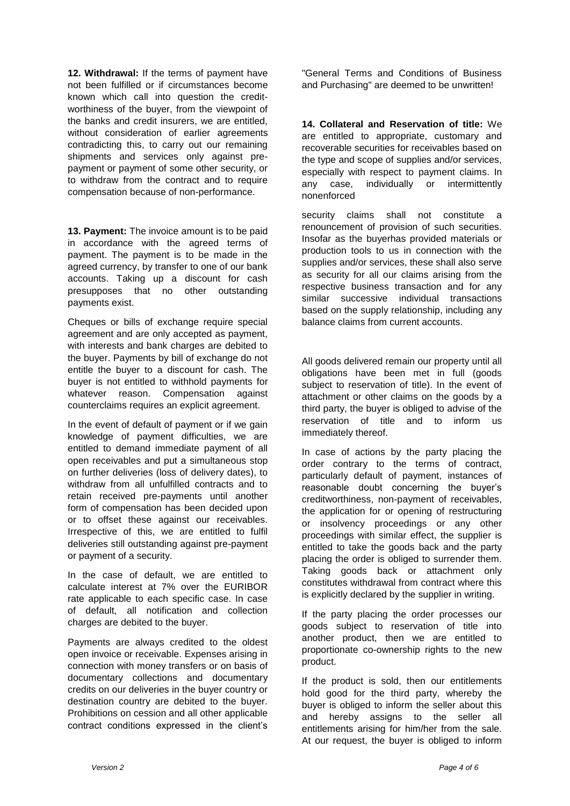**12. Withdrawal:** If the terms of payment have not been fulfilled or if circumstances become known which call into question the creditworthiness of the buyer, from the viewpoint of the banks and credit insurers, we are entitled, without consideration of earlier agreements contradicting this, to carry out our remaining shipments and services only against prepayment or payment of some other security, or to withdraw from the contract and to require compensation because of non-performance.

**13. Payment:** The invoice amount is to be paid in accordance with the agreed terms of payment. The payment is to be made in the agreed currency, by transfer to one of our bank accounts. Taking up a discount for cash presupposes that no other outstanding payments exist.

Cheques or bills of exchange require special agreement and are only accepted as payment, with interests and bank charges are debited to the buyer. Payments by bill of exchange do not entitle the buyer to a discount for cash. The buyer is not entitled to withhold payments for whatever reason. Compensation against counterclaims requires an explicit agreement.

In the event of default of payment or if we gain knowledge of payment difficulties, we are entitled to demand immediate payment of all open receivables and put a simultaneous stop on further deliveries (loss of delivery dates), to withdraw from all unfulfilled contracts and to retain received pre-payments until another form of compensation has been decided upon or to offset these against our receivables. Irrespective of this, we are entitled to fulfil deliveries still outstanding against pre-payment or payment of a security.

In the case of default, we are entitled to calculate interest at 7% over the EURIBOR rate applicable to each specific case. In case of default, all notification and collection charges are debited to the buyer.

Payments are always credited to the oldest open invoice or receivable. Expenses arising in connection with money transfers or on basis of documentary collections and documentary credits on our deliveries in the buyer country or destination country are debited to the buyer. Prohibitions on cession and all other applicable contract conditions expressed in the client's

"General Terms and Conditions of Business and Purchasing" are deemed to be unwritten!

**14. Collateral and Reservation of title:** We are entitled to appropriate, customary and recoverable securities for receivables based on the type and scope of supplies and/or services, especially with respect to payment claims. In any case, individually or intermittently nonenforced

security claims shall not constitute a renouncement of provision of such securities. Insofar as the buyerhas provided materials or production tools to us in connection with the supplies and/or services, these shall also serve as security for all our claims arising from the respective business transaction and for any similar successive individual transactions based on the supply relationship, including any balance claims from current accounts.

All goods delivered remain our property until all obligations have been met in full (goods subject to reservation of title). In the event of attachment or other claims on the goods by a third party, the buyer is obliged to advise of the reservation of title and to inform us immediately thereof.

In case of actions by the party placing the order contrary to the terms of contract, particularly default of payment, instances of reasonable doubt concerning the buyer's creditworthiness, non-payment of receivables, the application for or opening of restructuring or insolvency proceedings or any other proceedings with similar effect, the supplier is entitled to take the goods back and the party placing the order is obliged to surrender them. Taking goods back or attachment only constitutes withdrawal from contract where this is explicitly declared by the supplier in writing.

If the party placing the order processes our goods subject to reservation of title into another product, then we are entitled to proportionate co-ownership rights to the new product.

If the product is sold, then our entitlements hold good for the third party, whereby the buyer is obliged to inform the seller about this and hereby assigns to the seller all entitlements arising for him/her from the sale. At our request, the buyer is obliged to inform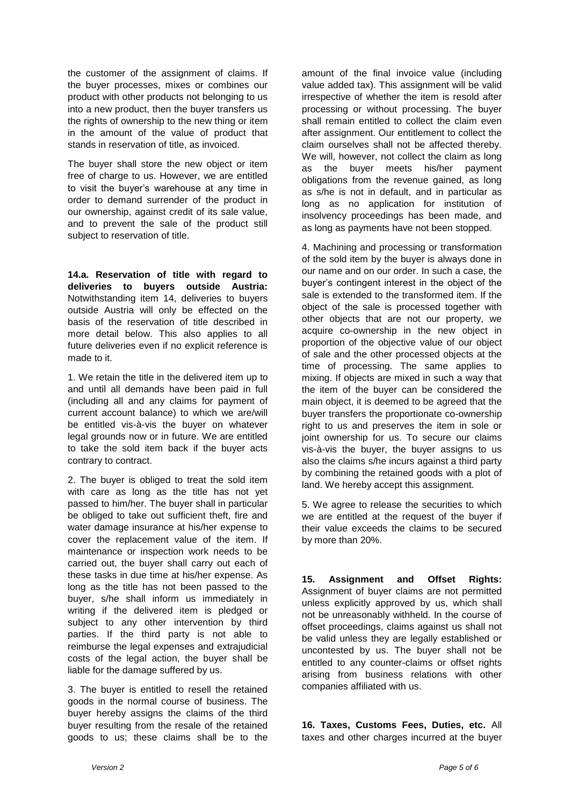the customer of the assignment of claims. If the buyer processes, mixes or combines our product with other products not belonging to us into a new product, then the buyer transfers us the rights of ownership to the new thing or item in the amount of the value of product that stands in reservation of title, as invoiced.

The buyer shall store the new object or item free of charge to us. However, we are entitled to visit the buyer's warehouse at any time in order to demand surrender of the product in our ownership, against credit of its sale value, and to prevent the sale of the product still subject to reservation of title.

**14.a. Reservation of title with regard to deliveries to buyers outside Austria:**  Notwithstanding item 14, deliveries to buyers outside Austria will only be effected on the basis of the reservation of title described in more detail below. This also applies to all future deliveries even if no explicit reference is made to it.

1. We retain the title in the delivered item up to and until all demands have been paid in full (including all and any claims for payment of current account balance) to which we are/will be entitled vis-à-vis the buyer on whatever legal grounds now or in future. We are entitled to take the sold item back if the buyer acts contrary to contract.

2. The buyer is obliged to treat the sold item with care as long as the title has not yet passed to him/her. The buyer shall in particular be obliged to take out sufficient theft, fire and water damage insurance at his/her expense to cover the replacement value of the item. If maintenance or inspection work needs to be carried out, the buyer shall carry out each of these tasks in due time at his/her expense. As long as the title has not been passed to the buyer, s/he shall inform us immediately in writing if the delivered item is pledged or subject to any other intervention by third parties. If the third party is not able to reimburse the legal expenses and extrajudicial costs of the legal action, the buyer shall be liable for the damage suffered by us.

3. The buyer is entitled to resell the retained goods in the normal course of business. The buyer hereby assigns the claims of the third buyer resulting from the resale of the retained goods to us; these claims shall be to the amount of the final invoice value (including value added tax). This assignment will be valid irrespective of whether the item is resold after processing or without processing. The buyer shall remain entitled to collect the claim even after assignment. Our entitlement to collect the claim ourselves shall not be affected thereby. We will, however, not collect the claim as long as the buyer meets his/her payment obligations from the revenue gained, as long as s/he is not in default, and in particular as long as no application for institution of insolvency proceedings has been made, and as long as payments have not been stopped.

4. Machining and processing or transformation of the sold item by the buyer is always done in our name and on our order. In such a case, the buyer's contingent interest in the object of the sale is extended to the transformed item. If the object of the sale is processed together with other objects that are not our property, we acquire co-ownership in the new object in proportion of the objective value of our object of sale and the other processed objects at the time of processing. The same applies to mixing. If objects are mixed in such a way that the item of the buyer can be considered the main object, it is deemed to be agreed that the buyer transfers the proportionate co-ownership right to us and preserves the item in sole or joint ownership for us. To secure our claims vis-à-vis the buyer, the buyer assigns to us also the claims s/he incurs against a third party by combining the retained goods with a plot of land. We hereby accept this assignment.

5. We agree to release the securities to which we are entitled at the request of the buyer if their value exceeds the claims to be secured by more than 20%.

**15. Assignment and Offset Rights:**  Assignment of buyer claims are not permitted unless explicitly approved by us, which shall not be unreasonably withheld. In the course of offset proceedings, claims against us shall not be valid unless they are legally established or uncontested by us. The buyer shall not be entitled to any counter-claims or offset rights arising from business relations with other companies affiliated with us.

**16. Taxes, Customs Fees, Duties, etc.** All taxes and other charges incurred at the buyer